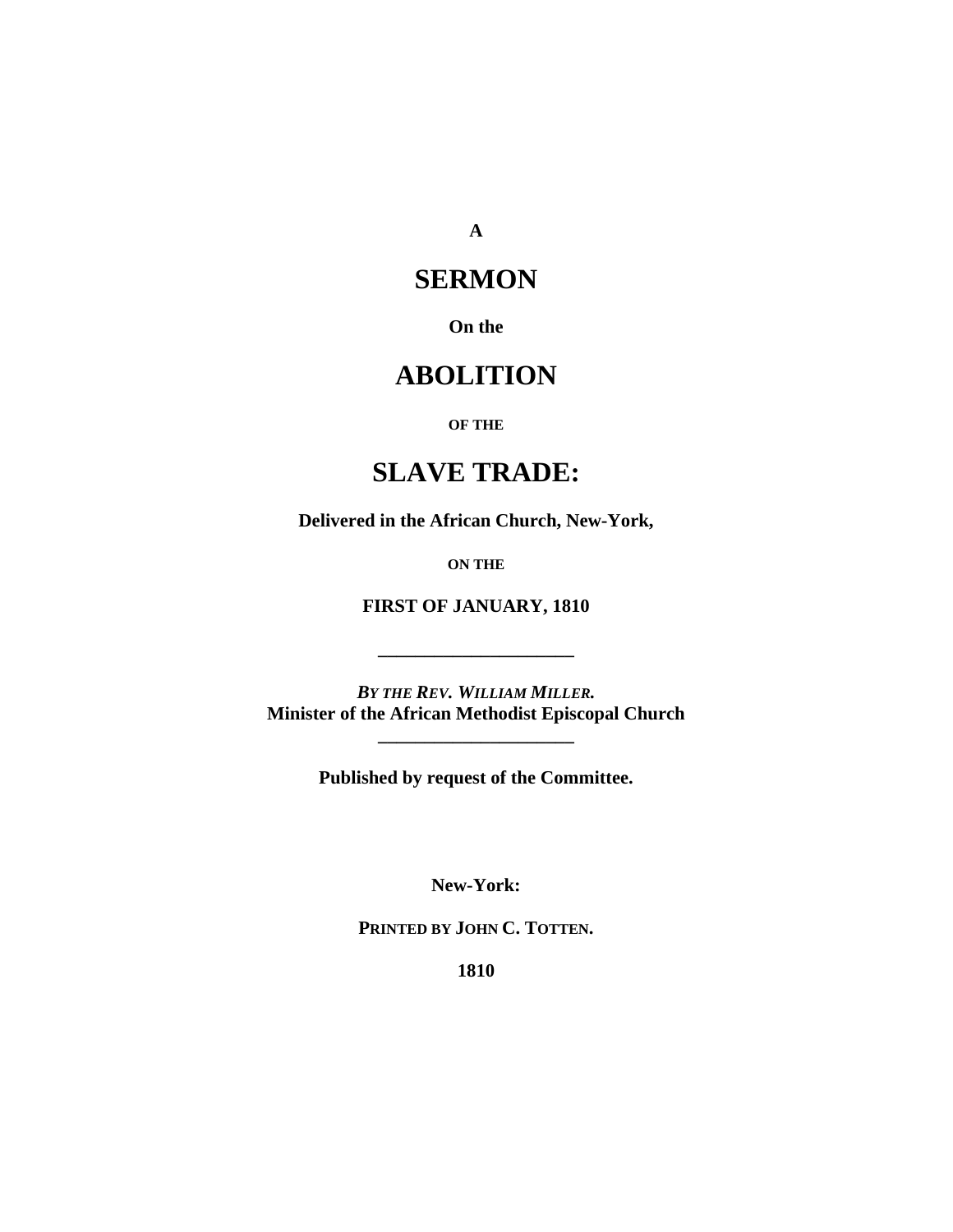**A** 

### **SERMON**

**On the** 

# **ABOLITION**

#### **OF THE**

## **SLAVE TRADE:**

**Delivered in the African Church, New-York,** 

**ON THE**

**FIRST OF JANUARY, 1810** 

**\_\_\_\_\_\_\_\_\_\_\_\_\_\_\_\_\_\_\_\_\_** 

*BY THE REV. WILLIAM MILLER.*  **Minister of the African Methodist Episcopal Church** 

**\_\_\_\_\_\_\_\_\_\_\_\_\_\_\_\_\_\_\_\_\_** 

**Published by request of the Committee.** 

**New-York:** 

**PRINTED BY JOHN C. TOTTEN.** 

**1810**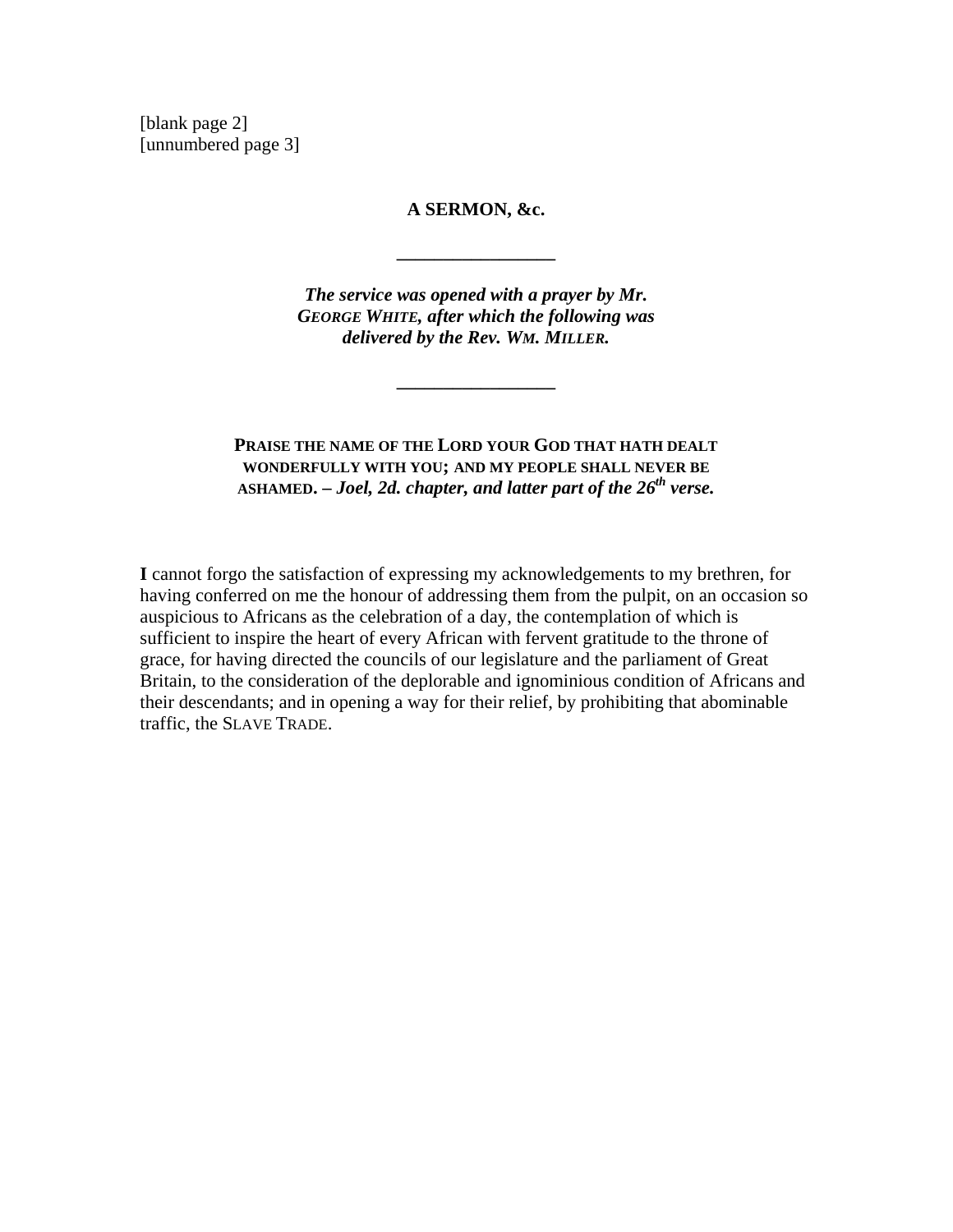[blank page 2] [unnumbered page 3]

#### **A SERMON, &c.**

**\_\_\_\_\_\_\_\_\_\_\_\_\_\_\_\_\_** 

*The service was opened with a prayer by Mr. GEORGE WHITE, after which the following was delivered by the Rev. WM. MILLER.*

**\_\_\_\_\_\_\_\_\_\_\_\_\_\_\_\_\_** 

### **PRAISE THE NAME OF THE LORD YOUR GOD THAT HATH DEALT WONDERFULLY WITH YOU; AND MY PEOPLE SHALL NEVER BE** ASHAMED. – Joel, 2d. chapter, and latter part of the 26<sup>th</sup> verse.

**I** cannot forgo the satisfaction of expressing my acknowledgements to my brethren, for having conferred on me the honour of addressing them from the pulpit, on an occasion so auspicious to Africans as the celebration of a day, the contemplation of which is sufficient to inspire the heart of every African with fervent gratitude to the throne of grace, for having directed the councils of our legislature and the parliament of Great Britain, to the consideration of the deplorable and ignominious condition of Africans and their descendants; and in opening a way for their relief, by prohibiting that abominable traffic, the SLAVE TRADE.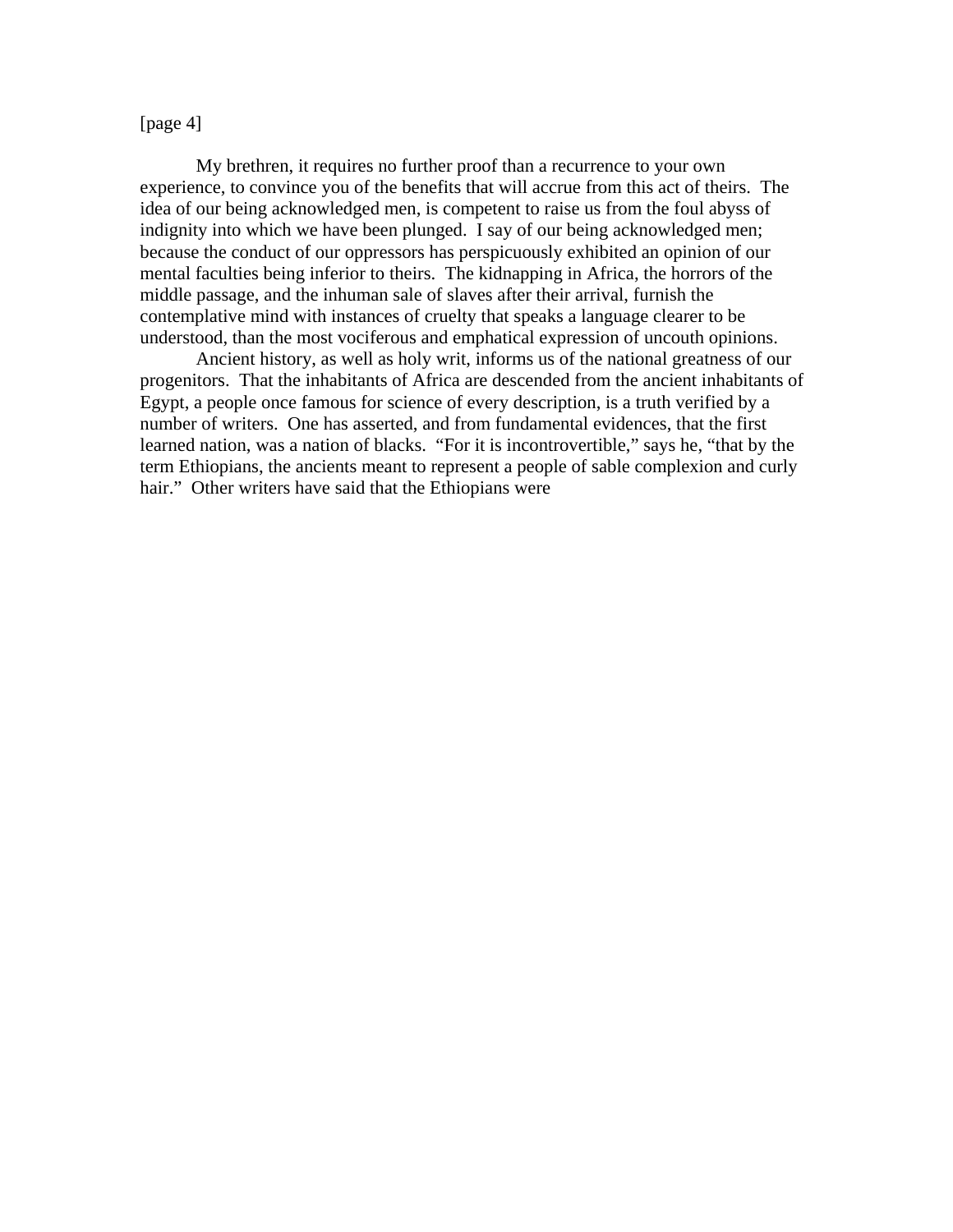#### [page 4]

 My brethren, it requires no further proof than a recurrence to your own experience, to convince you of the benefits that will accrue from this act of theirs. The idea of our being acknowledged men, is competent to raise us from the foul abyss of indignity into which we have been plunged. I say of our being acknowledged men; because the conduct of our oppressors has perspicuously exhibited an opinion of our mental faculties being inferior to theirs. The kidnapping in Africa, the horrors of the middle passage, and the inhuman sale of slaves after their arrival, furnish the contemplative mind with instances of cruelty that speaks a language clearer to be understood, than the most vociferous and emphatical expression of uncouth opinions.

 Ancient history, as well as holy writ, informs us of the national greatness of our progenitors. That the inhabitants of Africa are descended from the ancient inhabitants of Egypt, a people once famous for science of every description, is a truth verified by a number of writers. One has asserted, and from fundamental evidences, that the first learned nation, was a nation of blacks. "For it is incontrovertible," says he, "that by the term Ethiopians, the ancients meant to represent a people of sable complexion and curly hair." Other writers have said that the Ethiopians were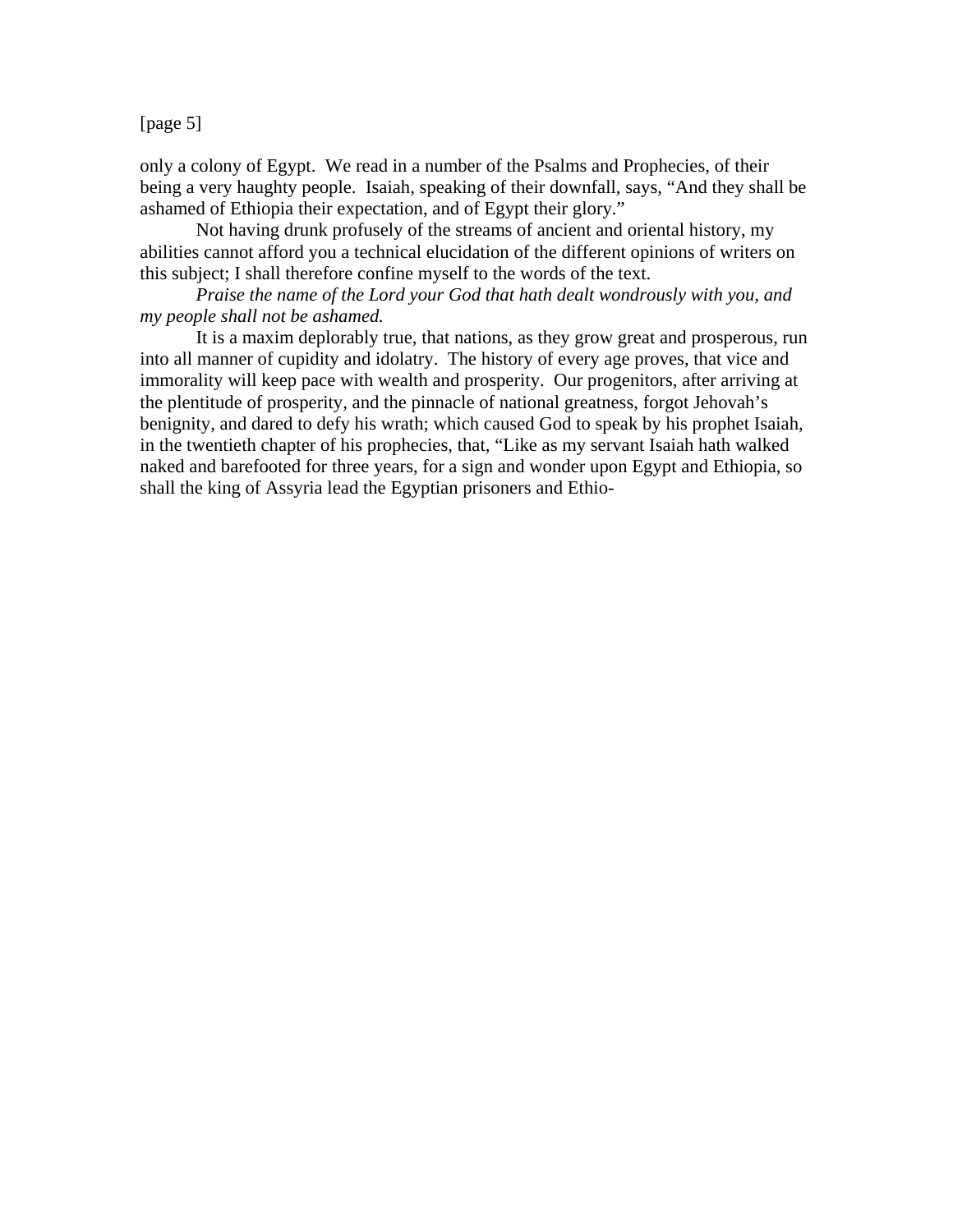[page 5]

only a colony of Egypt. We read in a number of the Psalms and Prophecies, of their being a very haughty people. Isaiah, speaking of their downfall, says, "And they shall be ashamed of Ethiopia their expectation, and of Egypt their glory."

 Not having drunk profusely of the streams of ancient and oriental history, my abilities cannot afford you a technical elucidation of the different opinions of writers on this subject; I shall therefore confine myself to the words of the text.

*Praise the name of the Lord your God that hath dealt wondrously with you, and my people shall not be ashamed.* 

 It is a maxim deplorably true, that nations, as they grow great and prosperous, run into all manner of cupidity and idolatry. The history of every age proves, that vice and immorality will keep pace with wealth and prosperity. Our progenitors, after arriving at the plentitude of prosperity, and the pinnacle of national greatness, forgot Jehovah's benignity, and dared to defy his wrath; which caused God to speak by his prophet Isaiah, in the twentieth chapter of his prophecies, that, "Like as my servant Isaiah hath walked naked and barefooted for three years, for a sign and wonder upon Egypt and Ethiopia, so shall the king of Assyria lead the Egyptian prisoners and Ethio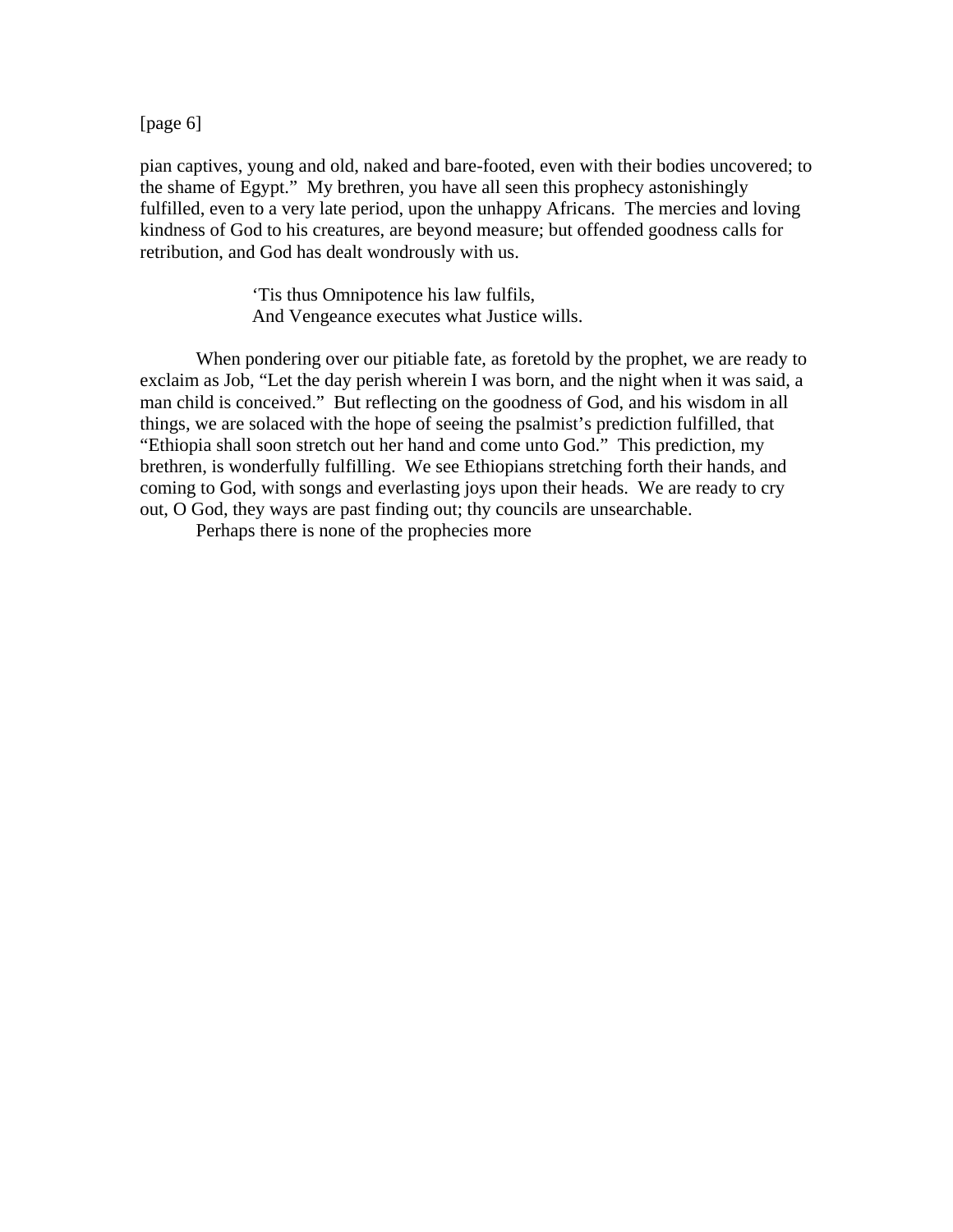[page 6]

pian captives, young and old, naked and bare-footed, even with their bodies uncovered; to the shame of Egypt." My brethren, you have all seen this prophecy astonishingly fulfilled, even to a very late period, upon the unhappy Africans. The mercies and loving kindness of God to his creatures, are beyond measure; but offended goodness calls for retribution, and God has dealt wondrously with us.

> 'Tis thus Omnipotence his law fulfils, And Vengeance executes what Justice wills.

 When pondering over our pitiable fate, as foretold by the prophet, we are ready to exclaim as Job, "Let the day perish wherein I was born, and the night when it was said, a man child is conceived." But reflecting on the goodness of God, and his wisdom in all things, we are solaced with the hope of seeing the psalmist's prediction fulfilled, that "Ethiopia shall soon stretch out her hand and come unto God." This prediction, my brethren, is wonderfully fulfilling. We see Ethiopians stretching forth their hands, and coming to God, with songs and everlasting joys upon their heads. We are ready to cry out, O God, they ways are past finding out; thy councils are unsearchable.

Perhaps there is none of the prophecies more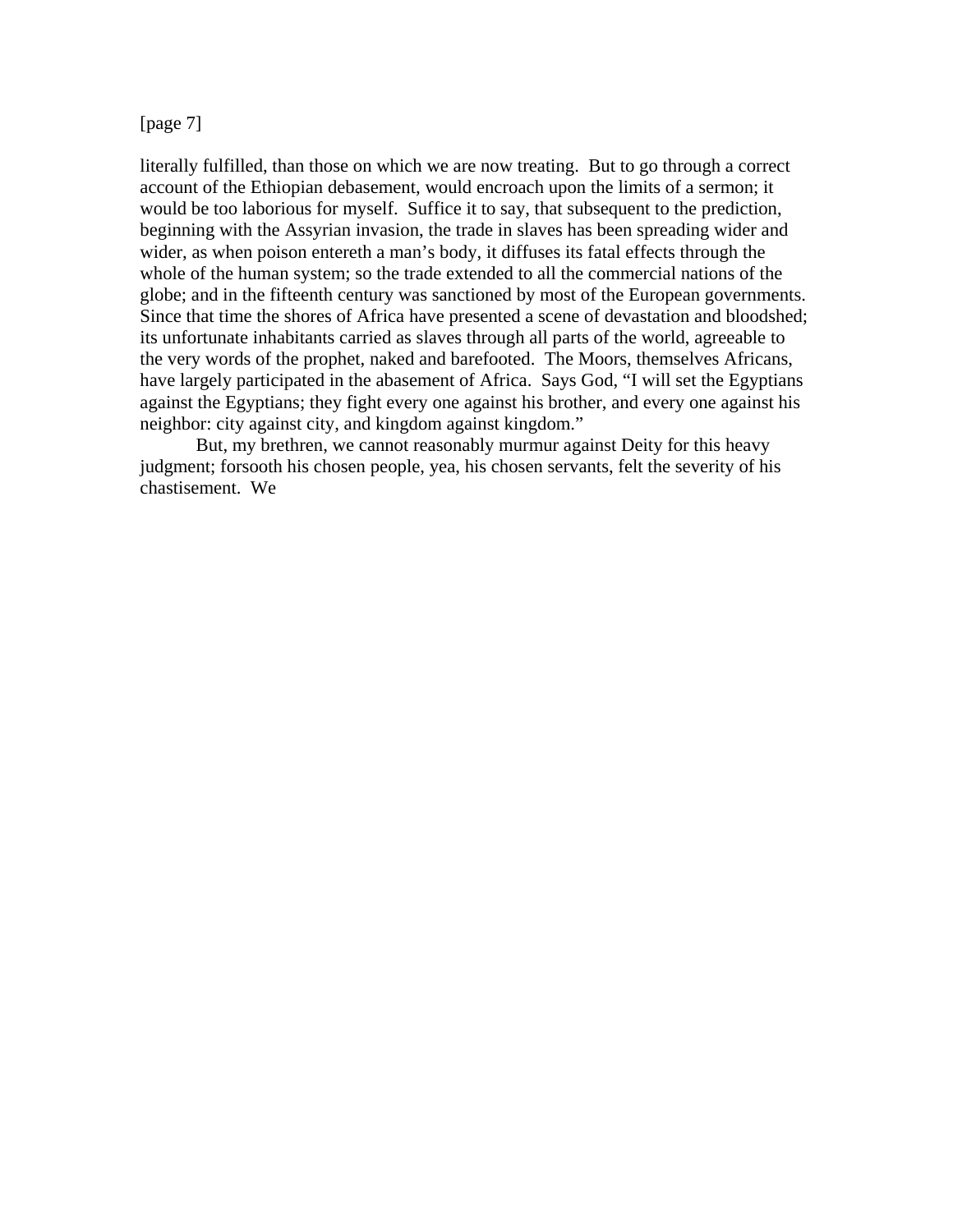#### [page 7]

literally fulfilled, than those on which we are now treating. But to go through a correct account of the Ethiopian debasement, would encroach upon the limits of a sermon; it would be too laborious for myself. Suffice it to say, that subsequent to the prediction, beginning with the Assyrian invasion, the trade in slaves has been spreading wider and wider, as when poison entereth a man's body, it diffuses its fatal effects through the whole of the human system; so the trade extended to all the commercial nations of the globe; and in the fifteenth century was sanctioned by most of the European governments. Since that time the shores of Africa have presented a scene of devastation and bloodshed; its unfortunate inhabitants carried as slaves through all parts of the world, agreeable to the very words of the prophet, naked and barefooted. The Moors, themselves Africans, have largely participated in the abasement of Africa. Says God, "I will set the Egyptians against the Egyptians; they fight every one against his brother, and every one against his neighbor: city against city, and kingdom against kingdom."

 But, my brethren, we cannot reasonably murmur against Deity for this heavy judgment; forsooth his chosen people, yea, his chosen servants, felt the severity of his chastisement. We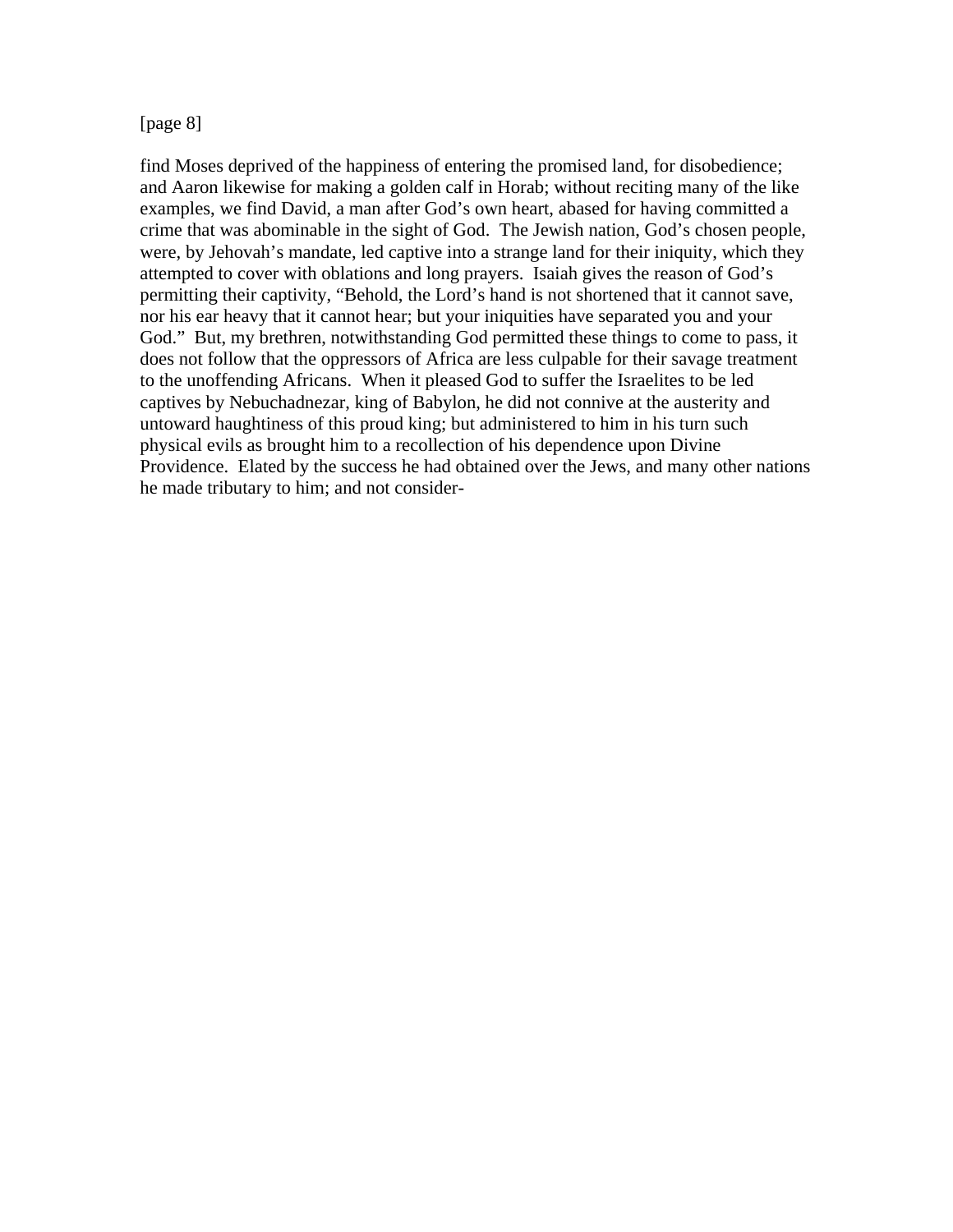#### [page 8]

find Moses deprived of the happiness of entering the promised land, for disobedience; and Aaron likewise for making a golden calf in Horab; without reciting many of the like examples, we find David, a man after God's own heart, abased for having committed a crime that was abominable in the sight of God. The Jewish nation, God's chosen people, were, by Jehovah's mandate, led captive into a strange land for their iniquity, which they attempted to cover with oblations and long prayers. Isaiah gives the reason of God's permitting their captivity, "Behold, the Lord's hand is not shortened that it cannot save, nor his ear heavy that it cannot hear; but your iniquities have separated you and your God." But, my brethren, notwithstanding God permitted these things to come to pass, it does not follow that the oppressors of Africa are less culpable for their savage treatment to the unoffending Africans. When it pleased God to suffer the Israelites to be led captives by Nebuchadnezar, king of Babylon, he did not connive at the austerity and untoward haughtiness of this proud king; but administered to him in his turn such physical evils as brought him to a recollection of his dependence upon Divine Providence. Elated by the success he had obtained over the Jews, and many other nations he made tributary to him; and not consider-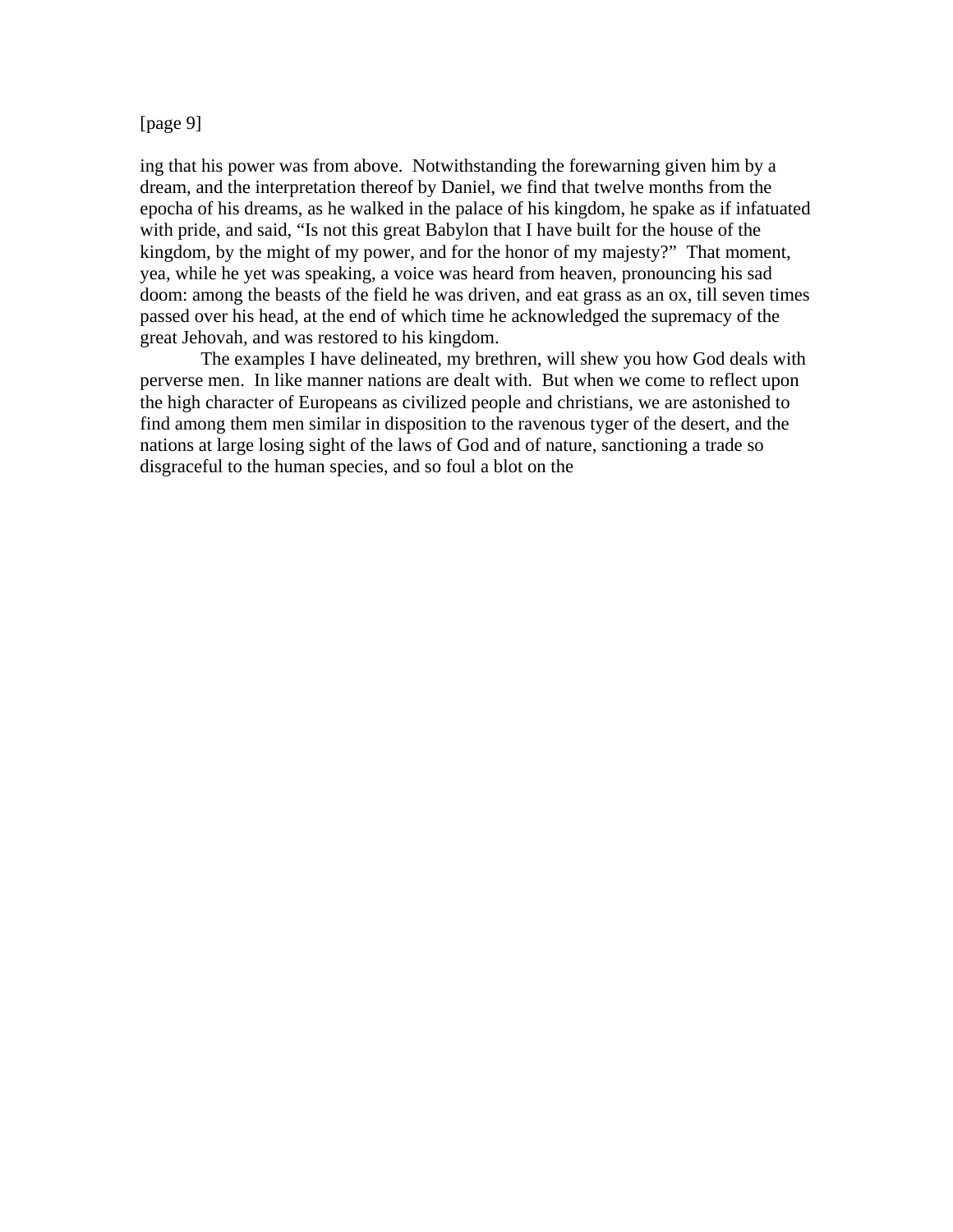#### [page 9]

ing that his power was from above. Notwithstanding the forewarning given him by a dream, and the interpretation thereof by Daniel, we find that twelve months from the epocha of his dreams, as he walked in the palace of his kingdom, he spake as if infatuated with pride, and said, "Is not this great Babylon that I have built for the house of the kingdom, by the might of my power, and for the honor of my majesty?" That moment, yea, while he yet was speaking, a voice was heard from heaven, pronouncing his sad doom: among the beasts of the field he was driven, and eat grass as an ox, till seven times passed over his head, at the end of which time he acknowledged the supremacy of the great Jehovah, and was restored to his kingdom.

 The examples I have delineated, my brethren, will shew you how God deals with perverse men. In like manner nations are dealt with. But when we come to reflect upon the high character of Europeans as civilized people and christians, we are astonished to find among them men similar in disposition to the ravenous tyger of the desert, and the nations at large losing sight of the laws of God and of nature, sanctioning a trade so disgraceful to the human species, and so foul a blot on the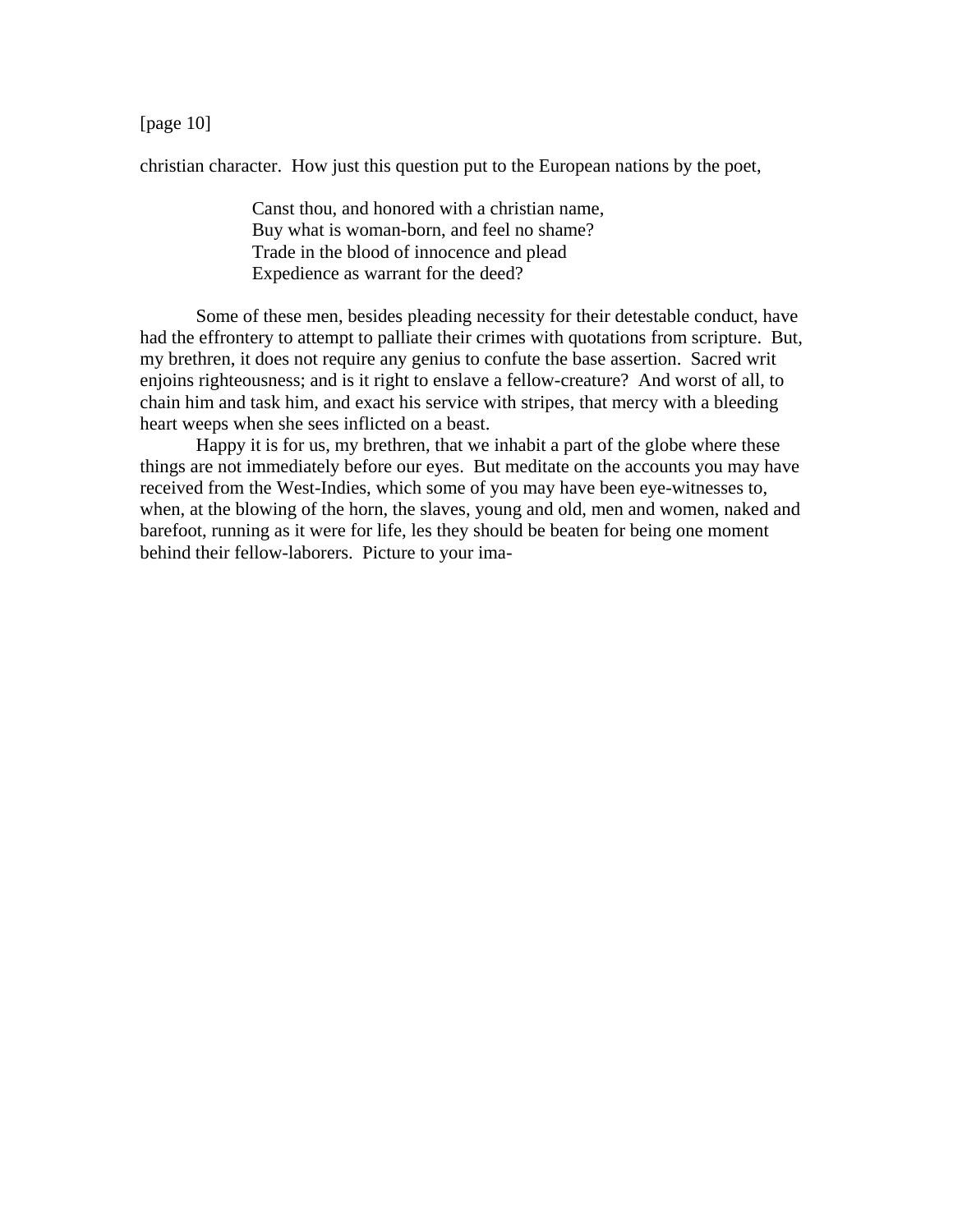[page 10]

christian character. How just this question put to the European nations by the poet,

 Canst thou, and honored with a christian name, Buy what is woman-born, and feel no shame? Trade in the blood of innocence and plead Expedience as warrant for the deed?

 Some of these men, besides pleading necessity for their detestable conduct, have had the effrontery to attempt to palliate their crimes with quotations from scripture. But, my brethren, it does not require any genius to confute the base assertion. Sacred writ enjoins righteousness; and is it right to enslave a fellow-creature? And worst of all, to chain him and task him, and exact his service with stripes, that mercy with a bleeding heart weeps when she sees inflicted on a beast.

 Happy it is for us, my brethren, that we inhabit a part of the globe where these things are not immediately before our eyes. But meditate on the accounts you may have received from the West-Indies, which some of you may have been eye-witnesses to, when, at the blowing of the horn, the slaves, young and old, men and women, naked and barefoot, running as it were for life, les they should be beaten for being one moment behind their fellow-laborers. Picture to your ima-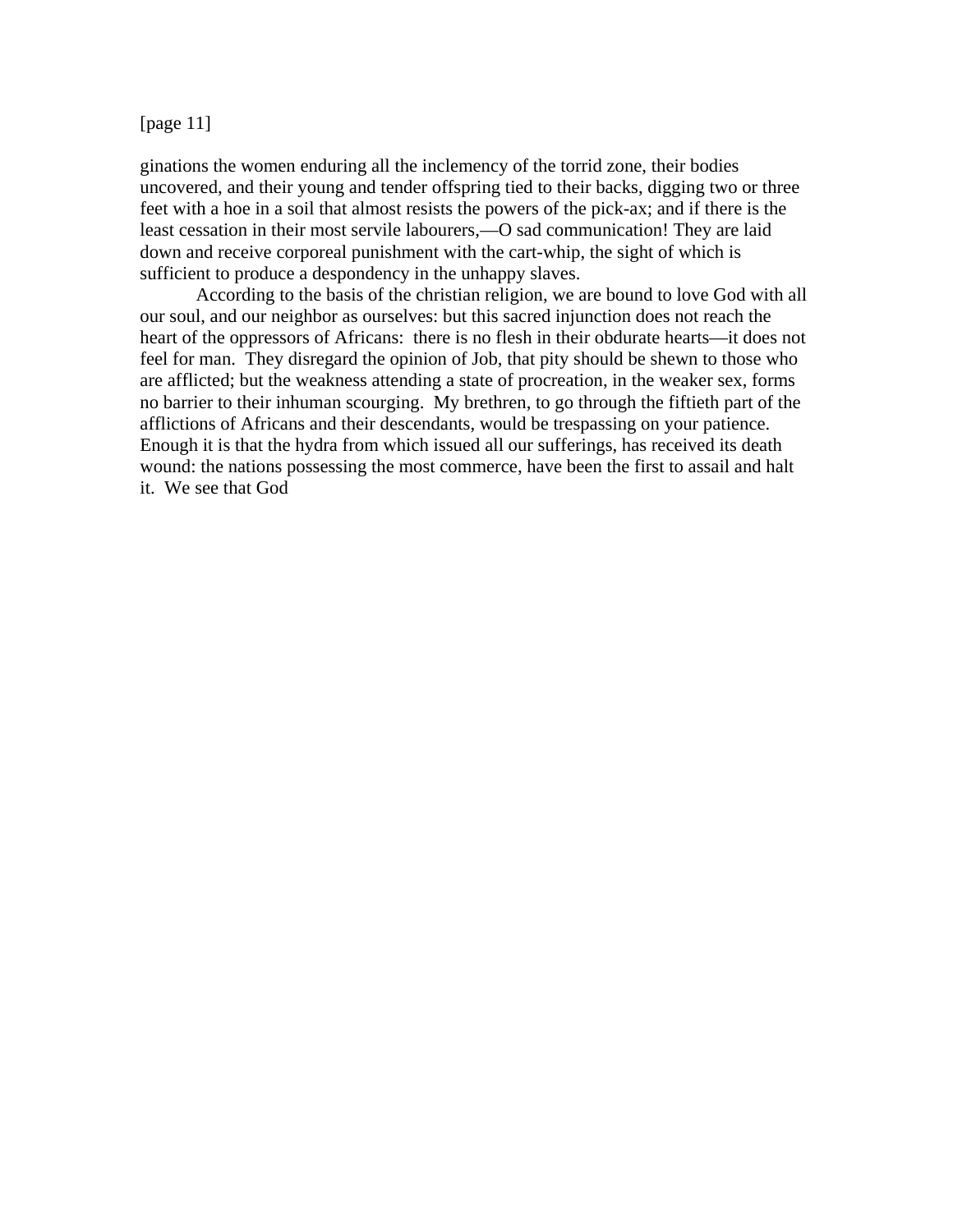#### [page 11]

ginations the women enduring all the inclemency of the torrid zone, their bodies uncovered, and their young and tender offspring tied to their backs, digging two or three feet with a hoe in a soil that almost resists the powers of the pick-ax; and if there is the least cessation in their most servile labourers,—O sad communication! They are laid down and receive corporeal punishment with the cart-whip, the sight of which is sufficient to produce a despondency in the unhappy slaves.

 According to the basis of the christian religion, we are bound to love God with all our soul, and our neighbor as ourselves: but this sacred injunction does not reach the heart of the oppressors of Africans: there is no flesh in their obdurate hearts—it does not feel for man. They disregard the opinion of Job, that pity should be shewn to those who are afflicted; but the weakness attending a state of procreation, in the weaker sex, forms no barrier to their inhuman scourging. My brethren, to go through the fiftieth part of the afflictions of Africans and their descendants, would be trespassing on your patience. Enough it is that the hydra from which issued all our sufferings, has received its death wound: the nations possessing the most commerce, have been the first to assail and halt it. We see that God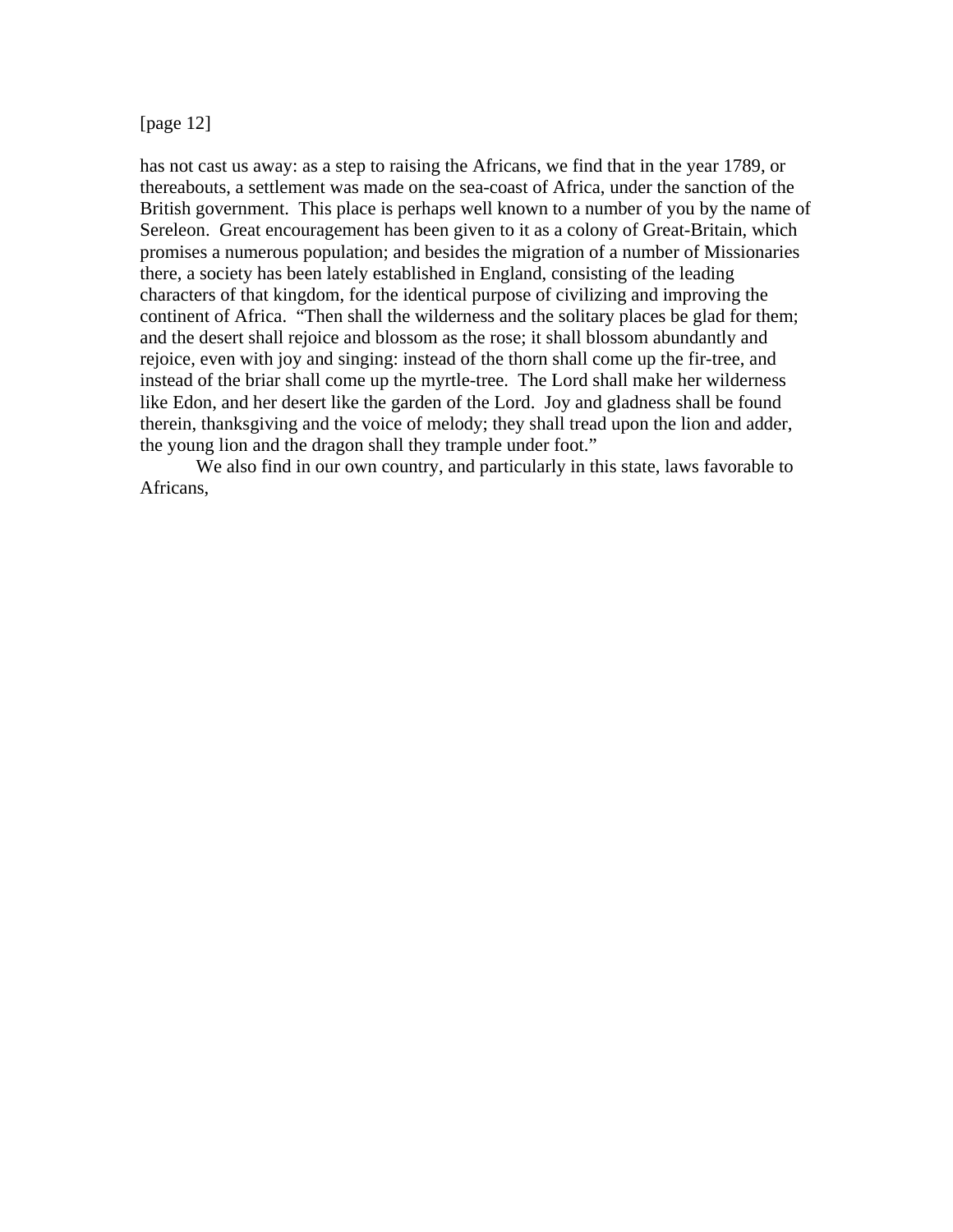#### [page 12]

has not cast us away: as a step to raising the Africans, we find that in the year 1789, or thereabouts, a settlement was made on the sea-coast of Africa, under the sanction of the British government. This place is perhaps well known to a number of you by the name of Sereleon. Great encouragement has been given to it as a colony of Great-Britain, which promises a numerous population; and besides the migration of a number of Missionaries there, a society has been lately established in England, consisting of the leading characters of that kingdom, for the identical purpose of civilizing and improving the continent of Africa. "Then shall the wilderness and the solitary places be glad for them; and the desert shall rejoice and blossom as the rose; it shall blossom abundantly and rejoice, even with joy and singing: instead of the thorn shall come up the fir-tree, and instead of the briar shall come up the myrtle-tree. The Lord shall make her wilderness like Edon, and her desert like the garden of the Lord. Joy and gladness shall be found therein, thanksgiving and the voice of melody; they shall tread upon the lion and adder, the young lion and the dragon shall they trample under foot."

 We also find in our own country, and particularly in this state, laws favorable to Africans,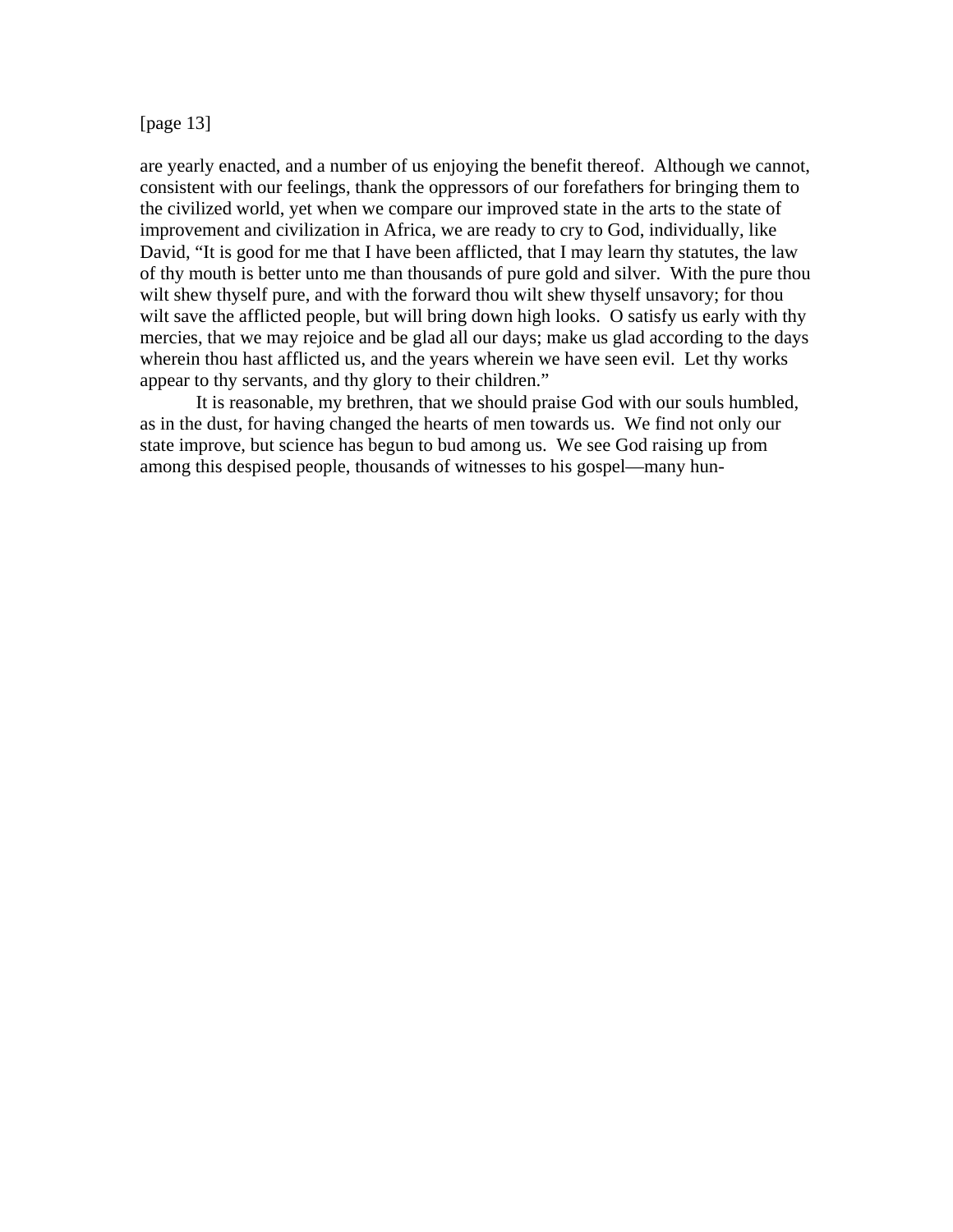[page 13]

are yearly enacted, and a number of us enjoying the benefit thereof. Although we cannot, consistent with our feelings, thank the oppressors of our forefathers for bringing them to the civilized world, yet when we compare our improved state in the arts to the state of improvement and civilization in Africa, we are ready to cry to God, individually, like David, "It is good for me that I have been afflicted, that I may learn thy statutes, the law of thy mouth is better unto me than thousands of pure gold and silver. With the pure thou wilt shew thyself pure, and with the forward thou wilt shew thyself unsavory; for thou wilt save the afflicted people, but will bring down high looks. O satisfy us early with thy mercies, that we may rejoice and be glad all our days; make us glad according to the days wherein thou hast afflicted us, and the years wherein we have seen evil. Let thy works appear to thy servants, and thy glory to their children."

 It is reasonable, my brethren, that we should praise God with our souls humbled, as in the dust, for having changed the hearts of men towards us. We find not only our state improve, but science has begun to bud among us. We see God raising up from among this despised people, thousands of witnesses to his gospel—many hun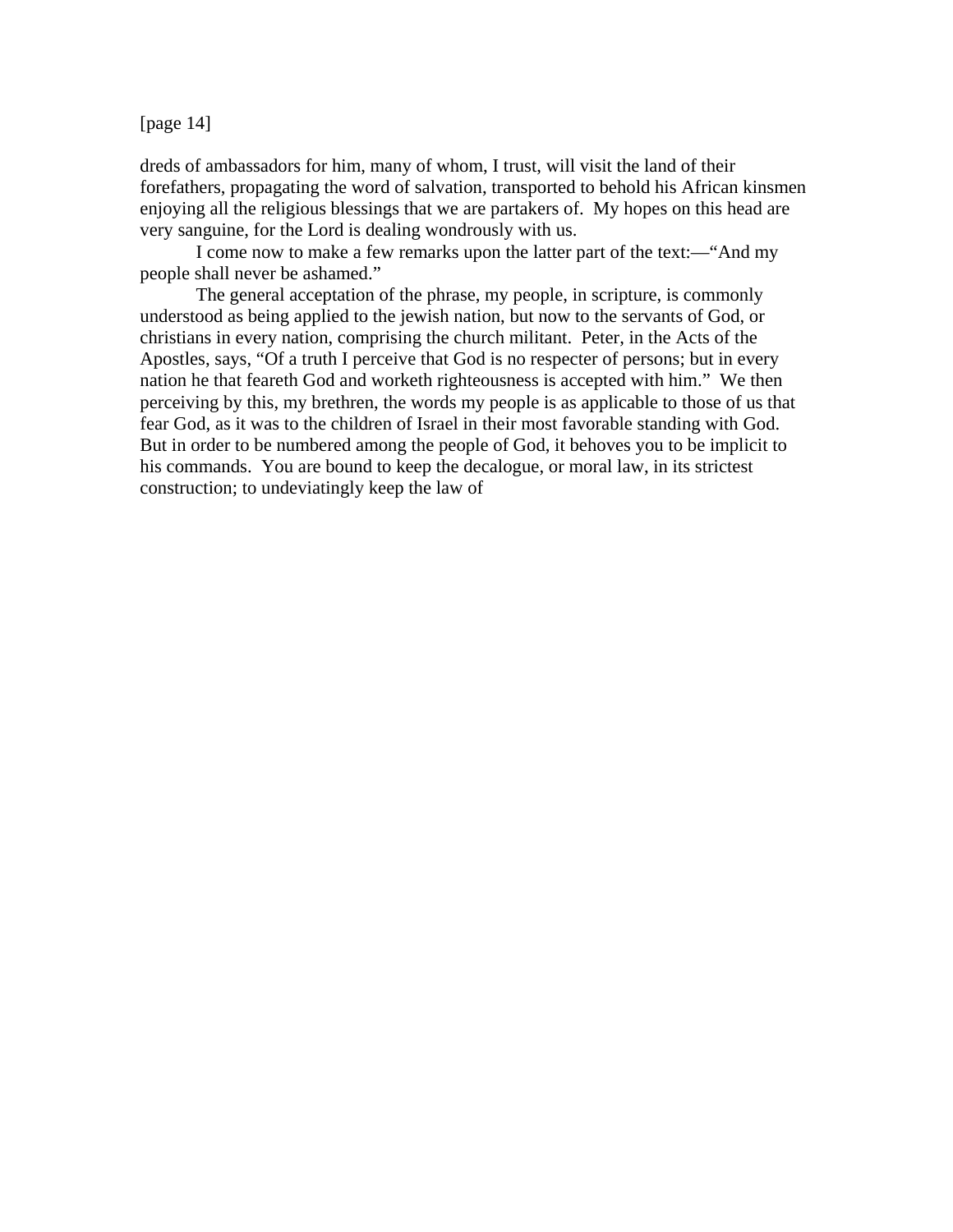[page 14]

dreds of ambassadors for him, many of whom, I trust, will visit the land of their forefathers, propagating the word of salvation, transported to behold his African kinsmen enjoying all the religious blessings that we are partakers of. My hopes on this head are very sanguine, for the Lord is dealing wondrously with us.

 I come now to make a few remarks upon the latter part of the text:—"And my people shall never be ashamed."

 The general acceptation of the phrase, my people, in scripture, is commonly understood as being applied to the jewish nation, but now to the servants of God, or christians in every nation, comprising the church militant. Peter, in the Acts of the Apostles, says, "Of a truth I perceive that God is no respecter of persons; but in every nation he that feareth God and worketh righteousness is accepted with him." We then perceiving by this, my brethren, the words my people is as applicable to those of us that fear God, as it was to the children of Israel in their most favorable standing with God. But in order to be numbered among the people of God, it behoves you to be implicit to his commands. You are bound to keep the decalogue, or moral law, in its strictest construction; to undeviatingly keep the law of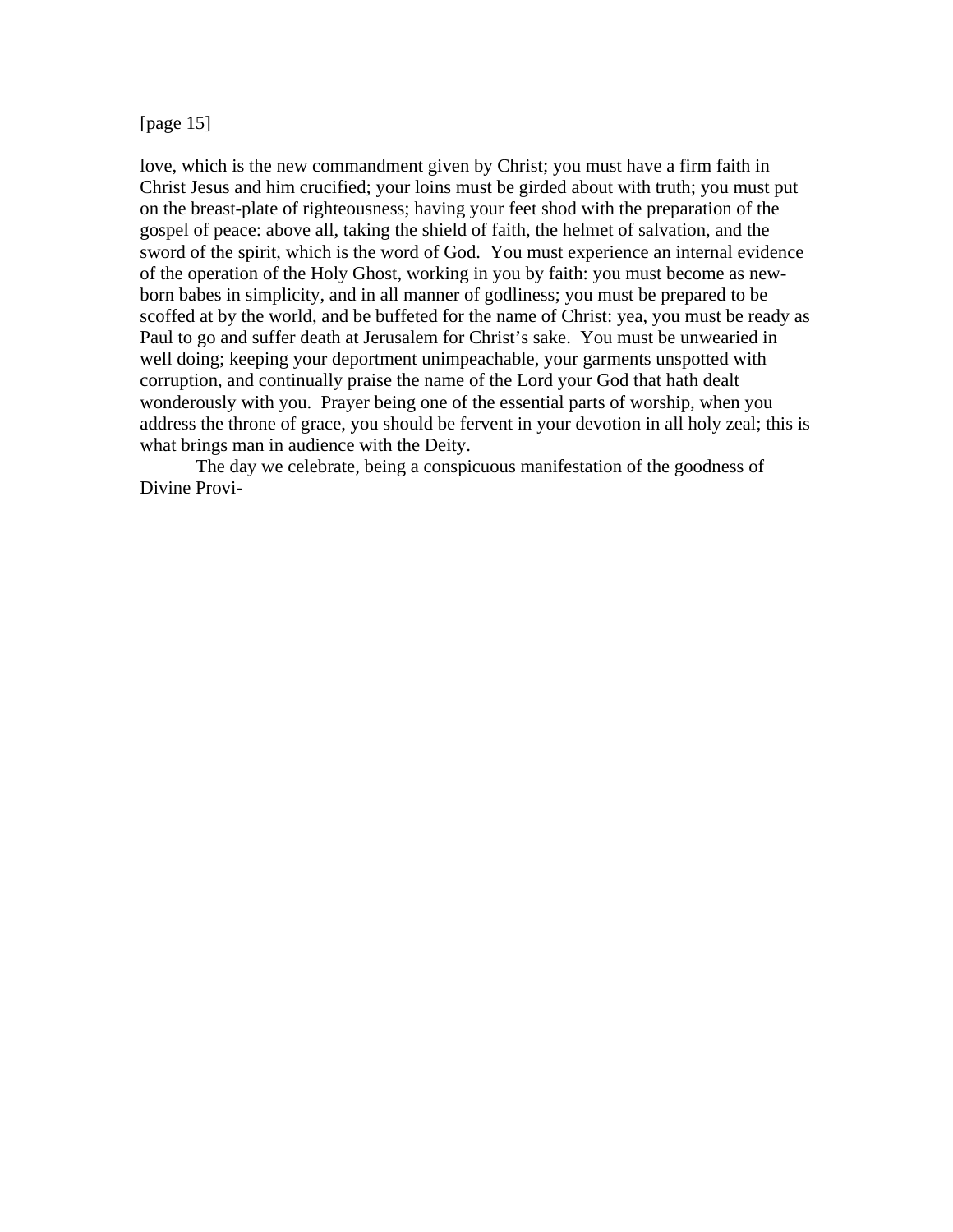[page 15]

love, which is the new commandment given by Christ; you must have a firm faith in Christ Jesus and him crucified; your loins must be girded about with truth; you must put on the breast-plate of righteousness; having your feet shod with the preparation of the gospel of peace: above all, taking the shield of faith, the helmet of salvation, and the sword of the spirit, which is the word of God. You must experience an internal evidence of the operation of the Holy Ghost, working in you by faith: you must become as newborn babes in simplicity, and in all manner of godliness; you must be prepared to be scoffed at by the world, and be buffeted for the name of Christ: yea, you must be ready as Paul to go and suffer death at Jerusalem for Christ's sake. You must be unwearied in well doing; keeping your deportment unimpeachable, your garments unspotted with corruption, and continually praise the name of the Lord your God that hath dealt wonderously with you. Prayer being one of the essential parts of worship, when you address the throne of grace, you should be fervent in your devotion in all holy zeal; this is what brings man in audience with the Deity.

 The day we celebrate, being a conspicuous manifestation of the goodness of Divine Provi